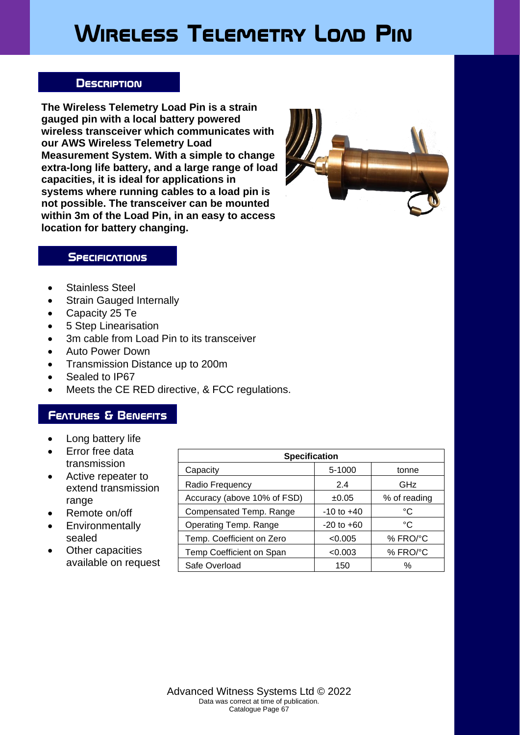# **Wireless Telemetry Load Pin**

#### **Description**

**The Wireless Telemetry Load Pin is a strain gauged pin with a local battery powered wireless transceiver which communicates with our AWS Wireless Telemetry Load Measurement System. With a simple to change extra-long life battery, and a large range of load capacities, it is ideal for applications in systems where running cables to a load pin is not possible. The transceiver can be mounted within 3m of the Load Pin, in an easy to access location for battery changing.**



#### **SPECIFICATIONS**

- Stainless Steel
- Strain Gauged Internally
- Capacity 25 Te
- 5 Step Linearisation
- 3m cable from Load Pin to its transceiver
- Auto Power Down
- Transmission Distance up to 200m
- Sealed to IP67
- Meets the CE RED directive, & FCC regulations.

### **Features & Benefits**

- Long battery life
- Error free data transmission
- Active repeater to extend transmission range
- Remote on/off
- Environmentally sealed
- **Other capacities** available on request

| <b>Specification</b>        |                |              |
|-----------------------------|----------------|--------------|
| Capacity                    | 5-1000         | tonne        |
| Radio Frequency             | 2.4            | GHz          |
| Accuracy (above 10% of FSD) | ±0.05          | % of reading |
| Compensated Temp. Range     | $-10$ to $+40$ | °C           |
| Operating Temp. Range       | $-20$ to $+60$ | °C           |
| Temp. Coefficient on Zero   | < 0.005        | % FRO/°C     |
| Temp Coefficient on Span    | < 0.003        | % FRO/°C     |
| Safe Overload               | 150            | ℅            |